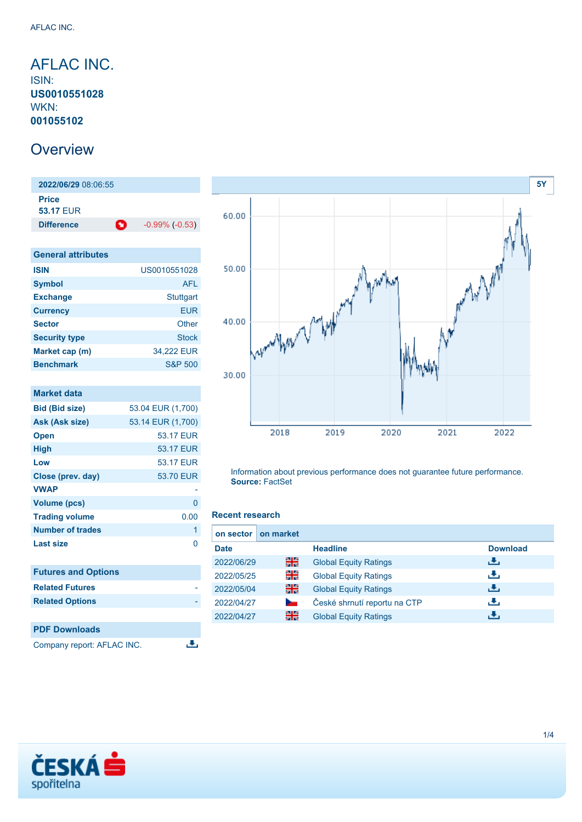## <span id="page-0-0"></span>AFLAC INC. ISIN: **US0010551028** WKN: **001055102**

## **Overview**

**2022/06/29** 08:06:55 **Price 53.17** EUR **Difference 1** -0.99% (-0.53)

| <b>General attributes</b> |                    |  |  |
|---------------------------|--------------------|--|--|
| <b>ISIN</b>               | US0010551028       |  |  |
| <b>Symbol</b>             | <b>AFL</b>         |  |  |
| <b>Exchange</b>           | <b>Stuttgart</b>   |  |  |
| <b>Currency</b>           | EUR                |  |  |
| <b>Sector</b>             | Other              |  |  |
| <b>Security type</b>      | Stock              |  |  |
| Market cap (m)            | 34,222 EUR         |  |  |
| <b>Benchmark</b>          | <b>S&amp;P 500</b> |  |  |

| <b>Market data</b>         |                   |
|----------------------------|-------------------|
| <b>Bid (Bid size)</b>      | 53.04 EUR (1,700) |
| Ask (Ask size)             | 53.14 EUR (1,700) |
| <b>Open</b>                | 53.17 EUR         |
| <b>High</b>                | 53.17 EUR         |
| Low                        | 53.17 EUR         |
| Close (prev. day)          | 53.70 EUR         |
| <b>VWAP</b>                |                   |
| <b>Volume (pcs)</b>        | 0                 |
| <b>Trading volume</b>      | 0.00              |
| <b>Number of trades</b>    | 1                 |
| <b>Last size</b>           | 0                 |
|                            |                   |
| <b>Futures and Options</b> |                   |
| <b>Related Futures</b>     |                   |
| <b>Related Options</b>     |                   |
|                            |                   |
| <b>PDF Downloads</b>       |                   |

Company report: AFLAC INC.



Information about previous performance does not guarantee future performance. **Source:** FactSet

### **Recent research**

رانق

| on sector I | on market |                              |                 |
|-------------|-----------|------------------------------|-----------------|
| <b>Date</b> |           | <b>Headline</b>              | <b>Download</b> |
| 2022/06/29  | 꾉쭍        | <b>Global Equity Ratings</b> | 法               |
| 2022/05/25  | 꾉뚢        | <b>Global Equity Ratings</b> | æ,              |
| 2022/05/04  | 을중        | <b>Global Equity Ratings</b> | æ,              |
| 2022/04/27  | $\sim$    | České shrnutí reportu na CTP | رنان            |
| 2022/04/27  | 을중        | <b>Global Equity Ratings</b> | æ,              |

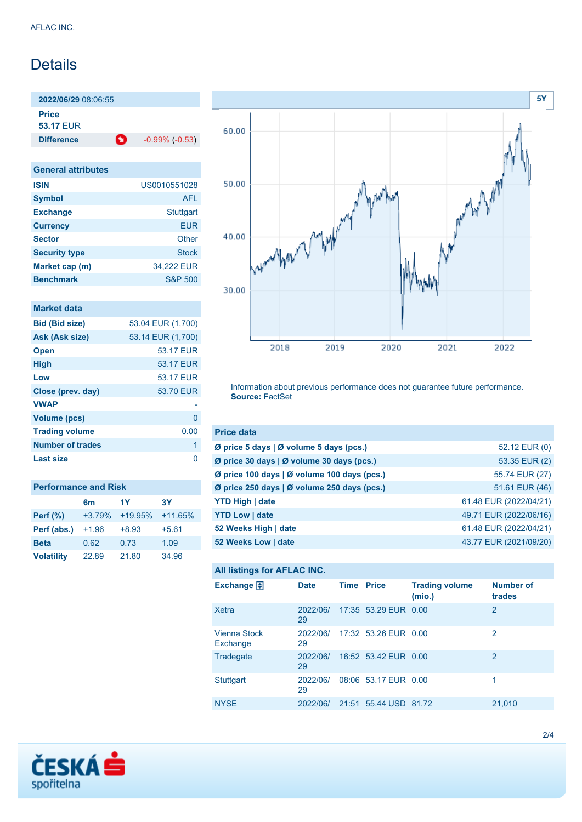# **Details**

**2022/06/29** 08:06:55 **Price**

**53.17** EUR

**Difference 1** -0.99% (-0.53)

| <b>General attributes</b> |                    |
|---------------------------|--------------------|
| <b>ISIN</b>               | US0010551028       |
| <b>Symbol</b>             | <b>AFL</b>         |
| <b>Exchange</b>           | <b>Stuttgart</b>   |
| <b>Currency</b>           | <b>EUR</b>         |
| <b>Sector</b>             | Other              |
| <b>Security type</b>      | <b>Stock</b>       |
| Market cap (m)            | 34,222 EUR         |
| <b>Benchmark</b>          | <b>S&amp;P 500</b> |

### **Market data**

| <b>Bid (Bid size)</b> | 53.04 EUR (1,700) |
|-----------------------|-------------------|
| Ask (Ask size)        | 53.14 EUR (1,700) |
| <b>Open</b>           | 53.17 EUR         |
| <b>High</b>           | 53.17 EUR         |
| Low                   | 53.17 FUR         |
| Close (prev. day)     | 53.70 EUR         |
| <b>VWAP</b>           |                   |
| <b>Volume (pcs)</b>   | O                 |
| <b>Trading volume</b> | 0.00              |
| Number of trades      | 1                 |
| <b>Last size</b>      | ∩                 |
|                       |                   |

| <b>Performance and Risk</b> |                |           |           |  |
|-----------------------------|----------------|-----------|-----------|--|
|                             | 6 <sub>m</sub> | 1Y        | 3Υ        |  |
| <b>Perf</b> (%)             | $+3.79%$       | $+19.95%$ | $+11.65%$ |  |
| Perf (abs.)                 | $+1.96$        | $+8.93$   | $+5.61$   |  |
| <b>Beta</b>                 | 0.62           | 0.73      | 1.09      |  |
| <b>Volatility</b>           | 22.89          | 21.80     | 34.96     |  |



Information about previous performance does not guarantee future performance. **Source:** FactSet

| <b>Price data</b>                           |                        |
|---------------------------------------------|------------------------|
| Ø price 5 days   Ø volume 5 days (pcs.)     | 52.12 EUR (0)          |
| Ø price 30 days   Ø volume 30 days (pcs.)   | 53.35 EUR (2)          |
| Ø price 100 days   Ø volume 100 days (pcs.) | 55.74 EUR (27)         |
| Ø price 250 days   Ø volume 250 days (pcs.) | 51.61 EUR (46)         |
| <b>YTD High   date</b>                      | 61.48 EUR (2022/04/21) |
| <b>YTD Low   date</b>                       | 49.71 EUR (2022/06/16) |
| 52 Weeks High   date                        | 61.48 EUR (2022/04/21) |
| 52 Weeks Low   date                         | 43.77 EUR (2021/09/20) |

### **All listings for AFLAC INC.**

| Exchange $\bigoplus$            | <b>Date</b>    | <b>Time Price</b> |                               | <b>Trading volume</b><br>(mio.) | <b>Number of</b><br>trades |
|---------------------------------|----------------|-------------------|-------------------------------|---------------------------------|----------------------------|
| <b>Xetra</b>                    | 2022/06/<br>29 |                   | 17:35 53.29 EUR 0.00          |                                 | $\overline{2}$             |
| <b>Vienna Stock</b><br>Exchange | 29             |                   | 2022/06/ 17:32 53.26 EUR 0.00 |                                 | 2                          |
| Tradegate                       | 2022/06/<br>29 |                   | 16:52 53.42 EUR 0.00          |                                 | 2                          |
| <b>Stuttgart</b>                | 2022/06/<br>29 |                   | 08:06 53.17 EUR 0.00          |                                 | 1                          |
| <b>NYSE</b>                     | 2022/06/       |                   | 21:51 55.44 USD 81.72         |                                 | 21,010                     |

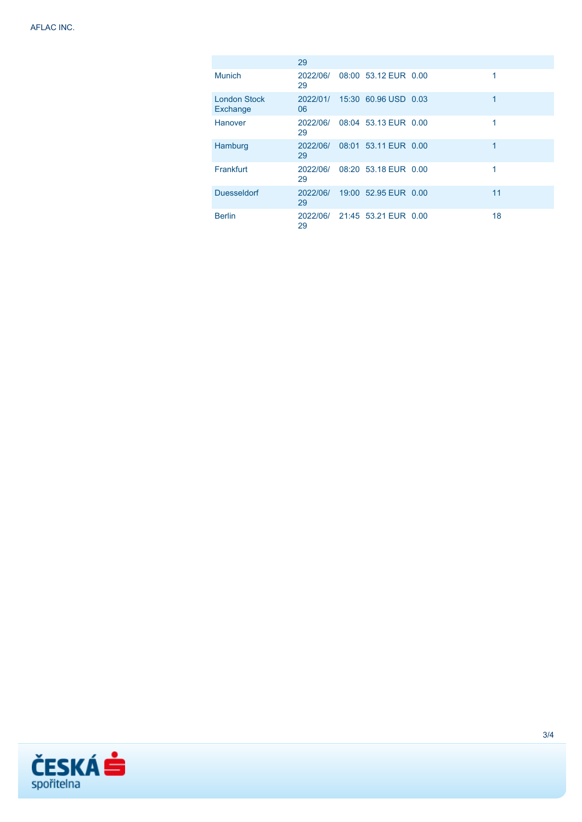|                                 | 29             |                      |    |
|---------------------------------|----------------|----------------------|----|
| <b>Munich</b>                   | 2022/06/<br>29 | 08:00 53.12 EUR 0.00 | 1  |
| <b>London Stock</b><br>Exchange | 2022/01/<br>06 | 15:30 60.96 USD 0.03 | 1  |
| Hanover                         | 2022/06/<br>29 | 08:04 53.13 EUR 0.00 | 1  |
| Hamburg                         | 2022/06/<br>29 | 08:01 53.11 EUR 0.00 | 1  |
| Frankfurt                       | 2022/06/<br>29 | 08:20 53.18 EUR 0.00 | 1  |
| <b>Duesseldorf</b>              | 2022/06/<br>29 | 19:00 52.95 EUR 0.00 | 11 |
| <b>Berlin</b>                   | 2022/06/<br>29 | 21:45 53.21 EUR 0.00 | 18 |